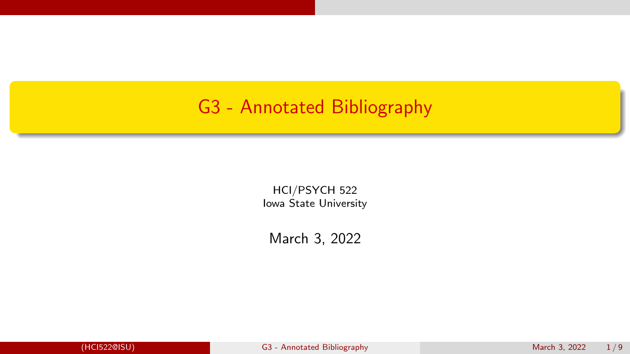### <span id="page-0-0"></span>G3 - Annotated Bibliography

HCI/PSYCH 522 Iowa State University

March 3, 2022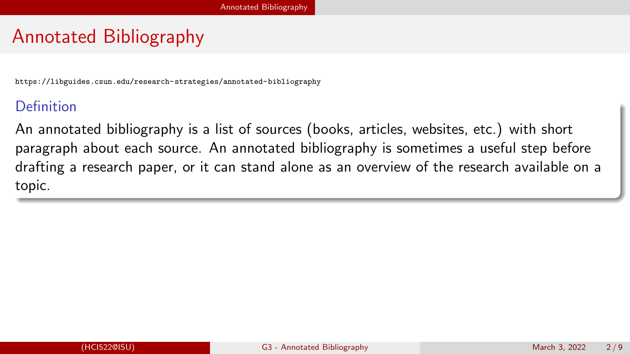# <span id="page-1-0"></span>Annotated Bibliography

<https://libguides.csun.edu/research-strategies/annotated-bibliography>

#### Definition

An annotated bibliography is a list of sources (books, articles, websites, etc.) with short paragraph about each source. An annotated bibliography is sometimes a useful step before drafting a research paper, or it can stand alone as an overview of the research available on a topic.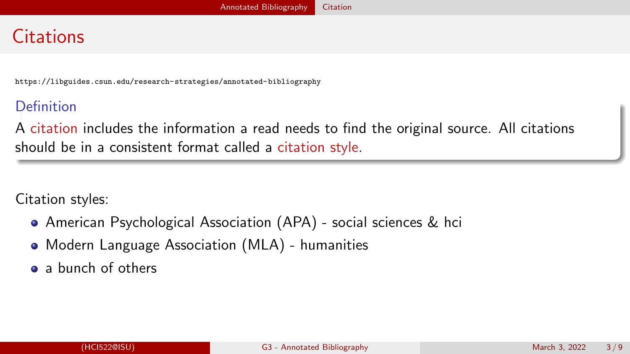# <span id="page-2-0"></span>**Citations**

<https://libguides.csun.edu/research-strategies/annotated-bibliography>

#### Definition

A citation includes the information a read needs to find the original source. All citations should be in a consistent format called a citation style.

Citation styles:

- American Psychological Association (APA) social sciences & [hci](https://instr.iastate.libguides.com/c.php?g=486449&p=6524242)
- Modern Language Association (MLA) humanities
- [a bunch of others](https://www.scribbr.com/citing-sources/citation-styles/)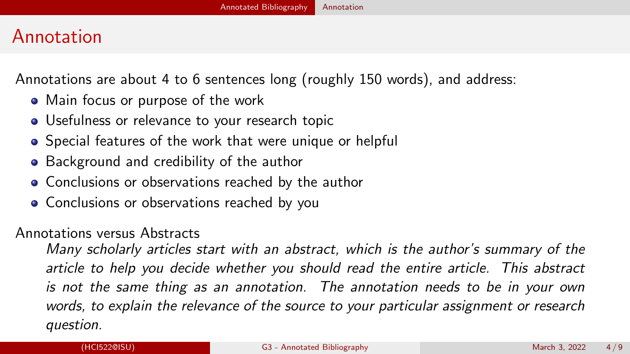# <span id="page-3-0"></span>Annotation

Annotations are about 4 to 6 sentences long (roughly 150 words), and address:

- Main focus or purpose of the work
- Usefulness or relevance to your research topic
- Special features of the work that were unique or helpful
- Background and credibility of the author
- Conclusions or observations reached by the author
- Conclusions or observations reached by you

#### Annotations versus Abstracts

Many scholarly articles start with an abstract, which is the author's summary of the article to help you decide whether you should read the entire article. This abstract is not the same thing as an annotation. The annotation needs to be in your own words, to explain the relevance of the source to your particular assignment or research question.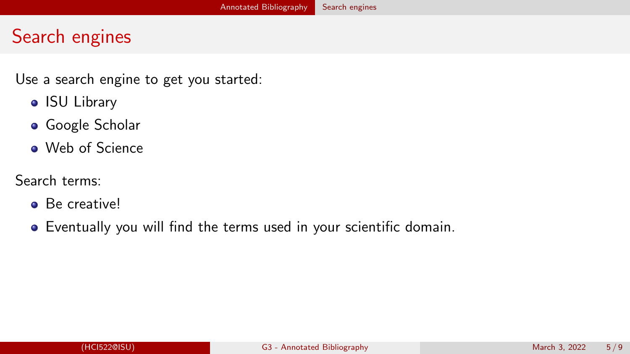# <span id="page-4-0"></span>Search engines

Use a search engine to get you started:

- [ISU Library](https://www.lib.iastate.edu/research-tools/research-help/find-articles)
- [Google Scholar](https://scholar.google.com/)
- [Web of Science](https://www.webofscience.com/wos/alldb/basic-search)

#### Search terms:

- **Be creativel**
- Eventually you will find the terms used in your scientific domain.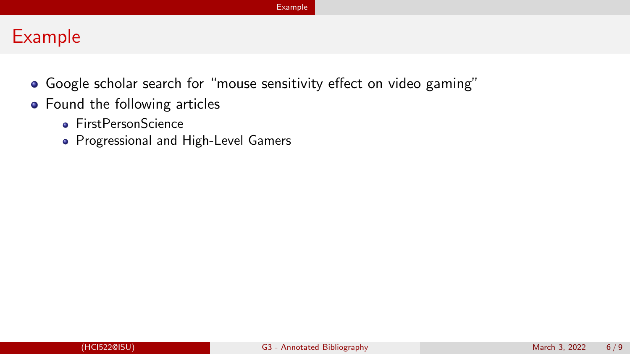#### <span id="page-5-0"></span>Example

- Google scholar search for "mouse sensitivity effect on video gaming"
- Found the following articles
	- **[FirstPersonScience](https://arxiv.org/abs/2202.06429)**
	- [Progressional and High-Level Gamers](https://www.tandfonline.com/doi/full/10.1080/10447318.2021.1960742)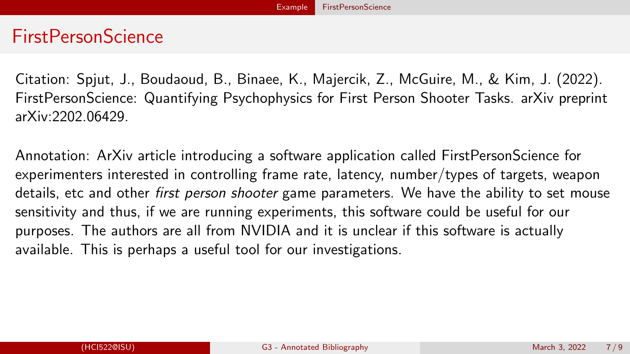#### <span id="page-6-0"></span>FirstPersonScience

Citation: Spjut, J., Boudaoud, B., Binaee, K., Majercik, Z., McGuire, M., & Kim, J. (2022). FirstPersonScience: Quantifying Psychophysics for First Person Shooter Tasks. arXiv preprint arXiv:2202.06429.

Annotation: ArXiv article introducing a software application called FirstPersonScience for experimenters interested in controlling frame rate, latency, number/types of targets, weapon details, etc and other *first person shooter* game parameters. We have the ability to set mouse sensitivity and thus, if we are running experiments, this software could be useful for our purposes. The authors are all from NVIDIA and it is unclear if this software is actually available. This is perhaps a useful tool for our investigations.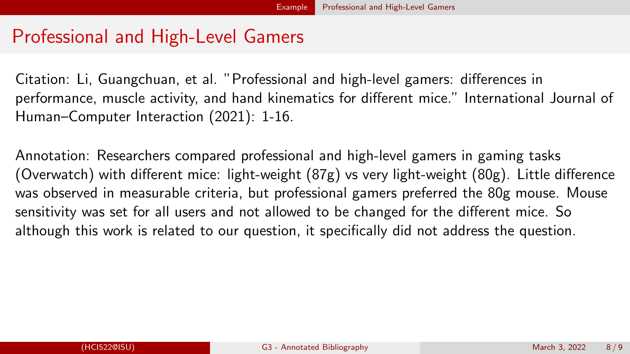# <span id="page-7-0"></span>Professional and High-Level Gamers

Citation: Li, Guangchuan, et al. "Professional and high-level gamers: differences in performance, muscle activity, and hand kinematics for different mice." International Journal of Human–Computer Interaction (2021): 1-16.

Annotation: Researchers compared professional and high-level gamers in gaming tasks (Overwatch) with different mice: light-weight (87g) vs very light-weight (80g). Little difference was observed in measurable criteria, but professional gamers preferred the 80g mouse. Mouse sensitivity was set for all users and not allowed to be changed for the different mice. So although this work is related to our question, it specifically did not address the question.